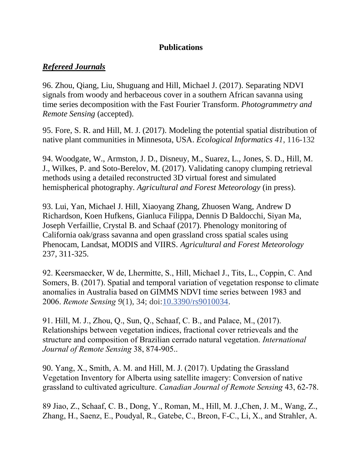### **Publications**

# *Refereed Journals*

96. Zhou, Qiang, Liu, Shuguang and Hill, Michael J. (2017). Separating NDVI signals from woody and herbaceous cover in a southern African savanna using time series decomposition with the Fast Fourier Transform. *Photogrammetry and Remote Sensing* (accepted).

95. Fore, S. R. and Hill, M. J. (2017). Modeling the potential spatial distribution of native plant communities in Minnesota, USA. *Ecological Informatics 41*, 116-132

94. Woodgate, W., Armston, J. D., Disneuy, M., Suarez, L., Jones, S. D., Hill, M. J., Wilkes, P. and Soto-Berelov, M. (2017). Validating canopy clumping retrieval methods using a detailed reconstructed 3D virtual forest and simulated hemispherical photography. *Agricultural and Forest Meteorology* (in press).

93. Lui, Yan, Michael J. Hill, Xiaoyang Zhang, Zhuosen Wang, Andrew D Richardson, Koen Hufkens, Gianluca Filippa, Dennis D Baldocchi, Siyan Ma, Joseph Verfaillie, Crystal B. and Schaaf (2017). Phenology monitoring of California oak/grass savanna and open grassland cross spatial scales using Phenocam, Landsat, MODIS and VIIRS. *Agricultural and Forest Meteorology* 237, 311-325.

92. Keersmaecker, W de, Lhermitte, S., Hill, Michael J., Tits, L., Coppin, C. And Somers, B. (2017). Spatial and temporal variation of vegetation response to climate anomalies in Australia based on GIMMS NDVI time series between 1983 and 2006. *Remote Sensing 9*(1), 34; doi[:10.3390/rs9010034](http://dx.doi.org/10.3390/rs9010034).

91. Hill, M. J., Zhou, Q., Sun, Q., Schaaf, C. B., and Palace, M., (2017). Relationships between vegetation indices, fractional cover retrieveals and the structure and composition of Brazilian cerrado natural vegetation. *International Journal of Remote Sensing* 38, 874-905..

90. Yang, X., Smith, A. M. and Hill, M. J. (2017). Updating the Grassland Vegetation Inventory for Alberta using satellite imagery: Conversion of native grassland to cultivated agriculture. *Canadian Journal of Remote Sensing* 43, 62-78.

89 Jiao, Z., Schaaf, C. B., Dong, Y., Roman, M., Hill, M. J.,Chen, J. M., Wang, Z., Zhang, H., Saenz, E., Poudyal, R., Gatebe, C., Breon, F-C., Li, X., and Strahler, A.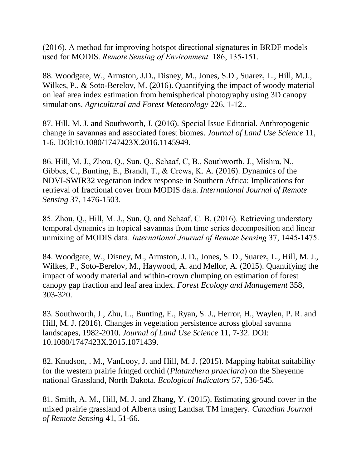(2016). A method for improving hotspot directional signatures in BRDF models used for MODIS. *Remote Sensing of Environment* 186, 135-151.

88. Woodgate, W., Armston, J.D., Disney, M., Jones, S.D., Suarez, L., Hill, M.J., Wilkes, P., & Soto-Berelov, M. (2016). Quantifying the impact of woody material on leaf area index estimation from hemispherical photography using 3D canopy simulations. *Agricultural and Forest Meteorology* 226, 1-12..

87. Hill, M. J. and Southworth, J. (2016). Special Issue Editorial. Anthropogenic change in savannas and associated forest biomes. *Journal of Land Use Science* 11, 1-6. DOI:10.1080/1747423X.2016.1145949.

86. Hill, M. J., Zhou, Q., Sun, Q., Schaaf, C, B., Southworth, J., Mishra, N., Gibbes, C., Bunting, E., Brandt, T., & Crews, K. A. (2016). Dynamics of the NDVI-SWIR32 vegetation index response in Southern Africa: Implications for retrieval of fractional cover from MODIS data. *International Journal of Remote Sensing* 37, 1476-1503.

85. Zhou, Q., Hill, M. J., Sun, Q. and Schaaf, C. B. (2016). Retrieving understory temporal dynamics in tropical savannas from time series decomposition and linear unmixing of MODIS data. *International Journal of Remote Sensing* 37, 1445-1475.

84. Woodgate, W., Disney, M., Armston, J. D., Jones, S. D., Suarez, L., Hill, M. J., Wilkes, P., Soto-Berelov, M., Haywood, A. and Mellor, A. (2015). Quantifying the impact of woody material and within-crown clumping on estimation of forest canopy gap fraction and leaf area index. *Forest Ecology and Management* 358, 303-320.

83. Southworth, J., Zhu, L., Bunting, E., Ryan, S. J., Herror, H., Waylen, P. R. and Hill, M. J. (2016). Changes in vegetation persistence across global savanna landscapes, 1982-2010. *Journal of Land Use Science* 11, 7-32. DOI: 10.1080/1747423X.2015.1071439.

82. Knudson, . M., VanLooy, J. and Hill, M. J. (2015). Mapping habitat suitability for the western prairie fringed orchid (*Platanthera praeclara*) on the Sheyenne national Grassland, North Dakota. *Ecological Indicators* 57, 536-545.

81. Smith, A. M., Hill, M. J. and Zhang, Y. (2015). Estimating ground cover in the mixed prairie grassland of Alberta using Landsat TM imagery. *Canadian Journal of Remote Sensing* 41, 51-66.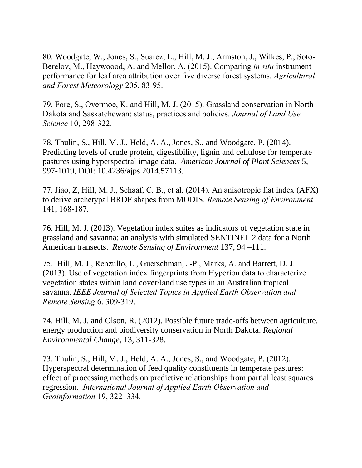80. Woodgate, W., Jones, S., Suarez, L., Hill, M. J., Armston, J., Wilkes, P., Soto-Berelov, M., Haywoood, A. and Mellor, A. (2015). Comparing *in situ* instrument performance for leaf area attribution over five diverse forest systems. *Agricultural and Forest Meteorology* 205, 83-95.

79. Fore, S., Overmoe, K. and Hill, M. J. (2015). Grassland conservation in North Dakota and Saskatchewan: status, practices and policies. *Journal of Land Use Science* 10, 298-322.

78. Thulin, S., Hill, M. J., Held, A. A., Jones, S., and Woodgate, P. (2014). Predicting levels of crude protein, digestibility, lignin and cellulose for temperate pastures using hyperspectral image data. *American Journal of Plant Sciences* 5, 997-1019, DOI: 10.4236/ajps.2014.57113.

77. Jiao, Z, Hill, M. J., Schaaf, C. B., et al. (2014). An anisotropic flat index (AFX) to derive archetypal BRDF shapes from MODIS. *Remote Sensing of Environment*  141, 168-187.

76. Hill, M. J. (2013). Vegetation index suites as indicators of vegetation state in grassland and savanna: an analysis with simulated SENTINEL 2 data for a North American transects. *Remote Sensing of Environment* 137, 94 –111.

75. Hill, M. J., Renzullo, L., Guerschman, J-P., Marks, A. and Barrett, D. J. (2013). Use of vegetation index fingerprints from Hyperion data to characterize vegetation states within land cover/land use types in an Australian tropical savanna. *IEEE Journal of Selected Topics in Applied Earth Observation and Remote Sensing* 6, 309-319.

74. Hill, M. J. and Olson, R. (2012). Possible future trade-offs between agriculture, energy production and biodiversity conservation in North Dakota. *Regional Environmental Change*, 13, 311-328.

73. Thulin, S., Hill, M. J., Held, A. A., Jones, S., and Woodgate, P. (2012). Hyperspectral determination of feed quality constituents in temperate pastures: effect of processing methods on predictive relationships from partial least squares regression. *International Journal of Applied Earth Observation and Geoinformation* 19, 322–334.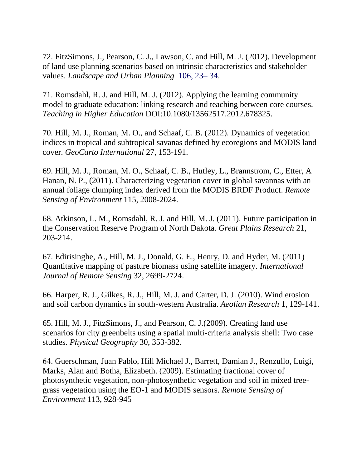72. FitzSimons, J., Pearson, C. J., Lawson, C. and Hill, M. J. (2012). Development of land use planning scenarios based on intrinsic characteristics and stakeholder values. *Landscape and Urban Planning* 106, 23– 34.

71. Romsdahl, R. J. and Hill, M. J. (2012). Applying the learning community model to graduate education: linking research and teaching between core courses. *Teaching in Higher Education* DOI:10.1080/13562517.2012.678325.

70. Hill, M. J., Roman, M. O., and Schaaf, C. B. (2012). Dynamics of vegetation indices in tropical and subtropical savanas defined by ecoregions and MODIS land cover. *GeoCarto International* 27, 153-191.

69. Hill, M. J., Roman, M. O., Schaaf, C. B., Hutley, L., Brannstrom, C., Etter, A Hanan, N. P., (2011). Characterizing vegetation cover in global savannas with an annual foliage clumping index derived from the MODIS BRDF Product. *Remote Sensing of Environment* 115, 2008-2024.

68. Atkinson, L. M., Romsdahl, R. J. and Hill, M. J. (2011). Future participation in the Conservation Reserve Program of North Dakota. *Great Plains Research* 21, 203-214.

67. Edirisinghe, A., Hill, M. J., Donald, G. E., Henry, D. and Hyder, M. (2011) Quantitative mapping of pasture biomass using satellite imagery. *International Journal of Remote Sensing* 32, 2699-2724.

66. Harper, R. J., Gilkes, R. J., Hill, M. J. and Carter, D. J. (2010). Wind erosion and soil carbon dynamics in south-western Australia. *Aeolian Research* 1, 129-141.

65. Hill, M. J., FitzSimons, J., and Pearson, C. J.(2009). Creating land use scenarios for city greenbelts using a spatial multi-criteria analysis shell: Two case studies. *Physical Geography* 30, 353-382.

64. Guerschman, Juan Pablo, Hill Michael J., Barrett, Damian J., Renzullo, Luigi, Marks, Alan and Botha, Elizabeth. (2009). Estimating fractional cover of photosynthetic vegetation, non-photosynthetic vegetation and soil in mixed treegrass vegetation using the EO-1 and MODIS sensors. *Remote Sensing of Environment* 113, 928-945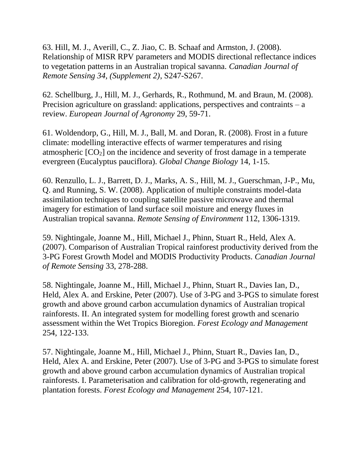63. Hill, M. J., Averill, C., Z. Jiao, C. B. Schaaf and Armston, J. (2008). Relationship of MISR RPV parameters and MODIS directional reflectance indices to vegetation patterns in an Australian tropical savanna. *Canadian Journal of Remote Sensing 34, (Supplement 2)*, S247-S267.

62. Schellburg, J., Hill, M. J., Gerhards, R., Rothmund, M. and Braun, M. (2008). Precision agriculture on grassland: applications, perspectives and contraints – a review. *European Journal of Agronomy* 29, 59-71.

61. Woldendorp, G., Hill, M. J., Ball, M. and Doran, R. (2008). Frost in a future climate: modelling interactive effects of warmer temperatures and rising atmospheric  $[CO<sub>2</sub>]$  on the incidence and severity of frost damage in a temperate evergreen (Eucalyptus pauciflora). *Global Change Biology* 14, 1-15.

60. Renzullo, L. J., Barrett, D. J., Marks, A. S., Hill, M. J., Guerschman, J-P., Mu, Q. and Running, S. W. (2008). Application of multiple constraints model-data assimilation techniques to coupling satellite passive microwave and thermal imagery for estimation of land surface soil moisture and energy fluxes in Australian tropical savanna. *Remote Sensing of Environment* 112, 1306-1319.

59. Nightingale, Joanne M., Hill, Michael J., Phinn, Stuart R., Held, Alex A. (2007). Comparison of Australian Tropical rainforest productivity derived from the 3-PG Forest Growth Model and MODIS Productivity Products. *Canadian Journal of Remote Sensing* 33, 278-288.

58. Nightingale, Joanne M., Hill, Michael J., Phinn, Stuart R., Davies Ian, D., Held, Alex A. and Erskine, Peter (2007). Use of 3-PG and 3-PGS to simulate forest growth and above ground carbon accumulation dynamics of Australian tropical rainforests. II. An integrated system for modelling forest growth and scenario assessment within the Wet Tropics Bioregion. *Forest Ecology and Management* 254, 122-133.

57. Nightingale, Joanne M., Hill, Michael J., Phinn, Stuart R., Davies Ian, D., Held, Alex A. and Erskine, Peter (2007). Use of 3-PG and 3-PGS to simulate forest growth and above ground carbon accumulation dynamics of Australian tropical rainforests. I. Parameterisation and calibration for old-growth, regenerating and plantation forests. *Forest Ecology and Management* 254, 107-121.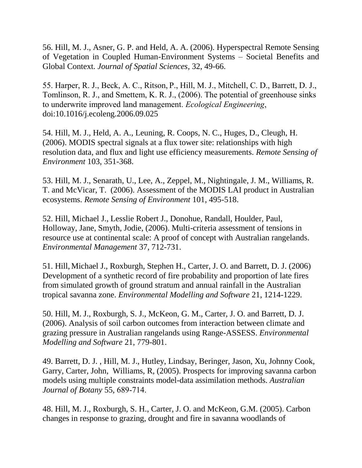56. Hill, M. J., Asner, G. P. and Held, A. A. (2006). Hyperspectral Remote Sensing of Vegetation in Coupled Human-Environment Systems – Societal Benefits and Global Context. *Journal of Spatial Sciences*, 32, 49-66.

55. Harper, R. J., Beck, A. C., Ritson, P., Hill, M. J., Mitchell, C. D., Barrett, D. J., Tomlinson, R. J., and Smettem, K. R. J., (2006). The potential of greenhouse sinks to underwrite improved land management. *Ecological Engineering*, doi:10.1016/j.ecoleng.2006.09.025

54. Hill, M. J., Held, A. A., Leuning, R. Coops, N. C., Huges, D., Cleugh, H. (2006). MODIS spectral signals at a flux tower site: relationships with high resolution data, and flux and light use efficiency measurements. *Remote Sensing of Environment* 103, 351-368.

53. Hill, M. J., Senarath, U., Lee, A., Zeppel, M., Nightingale, J. M., Williams, R. T. and McVicar, T. (2006). Assessment of the MODIS LAI product in Australian ecosystems. *Remote Sensing of Environment* 101, 495-518.

52. Hill, Michael J., Lesslie Robert J., Donohue, Randall, Houlder, Paul, Holloway, Jane, Smyth, Jodie, (2006). Multi-criteria assessment of tensions in resource use at continental scale: A proof of concept with Australian rangelands. *Environmental Management* 37, 712-731.

51. Hill, Michael J., Roxburgh, Stephen H., Carter, J. O. and Barrett, D. J. (2006) Development of a synthetic record of fire probability and proportion of late fires from simulated growth of ground stratum and annual rainfall in the Australian tropical savanna zone. *Environmental Modelling and Software* 21, 1214-1229.

50. Hill, M. J., Roxburgh, S. J., McKeon, G. M., Carter, J. O. and Barrett, D. J. (2006). Analysis of soil carbon outcomes from interaction between climate and grazing pressure in Australian rangelands using Range-ASSESS. *Environmental Modelling and Software* 21, 779-801.

49. Barrett, D. J. , Hill, M. J., Hutley, Lindsay, Beringer, Jason, Xu, Johnny Cook, Garry, Carter, John, Williams, R, (2005). Prospects for improving savanna carbon models using multiple constraints model-data assimilation methods. *Australian Journal of Botany* 55, 689-714.

48. Hill, M. J., Roxburgh, S. H., Carter, J. O. and McKeon, G.M. (2005). Carbon changes in response to grazing, drought and fire in savanna woodlands of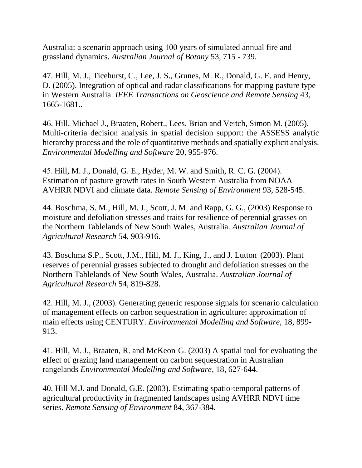Australia: a scenario approach using 100 years of simulated annual fire and grassland dynamics. *Australian Journal of Botany* 53, 715 - 739.

47. Hill, M. J., Ticehurst, C., Lee, J. S., Grunes, M. R., Donald, G. E. and Henry, D. (2005). Integration of optical and radar classifications for mapping pasture type in Western Australia. *IEEE Transactions on Geoscience and Remote Sensing* 43, 1665-1681..

46. Hill, Michael J., Braaten, Robert., Lees, Brian and Veitch, Simon M. (2005). Multi-criteria decision analysis in spatial decision support: the ASSESS analytic hierarchy process and the role of quantitative methods and spatially explicit analysis. *Environmental Modelling and Software* 20, 955-976.

45. Hill, M. J., Donald, G. E., Hyder, M. W. and Smith, R. C. G. (2004). Estimation of pasture growth rates in South Western Australia from NOAA AVHRR NDVI and climate data. *Remote Sensing of Environment* 93, 528-545.

44. Boschma, S. M., Hill, M. J., Scott, J. M. and Rapp, G. G., (2003) Response to moisture and defoliation stresses and traits for resilience of perennial grasses on the Northern Tablelands of New South Wales, Australia. *Australian Journal of Agricultural Research* 54, 903-916.

43. Boschma S.P., Scott, J.M., Hill, M. J., King, J., and J. Lutton (2003). Plant reserves of perennial grasses subjected to drought and defoliation stresses on the Northern Tablelands of New South Wales, Australia. *Australian Journal of Agricultural Research* 54, 819-828.

42. Hill, M. J., (2003). Generating generic response signals for scenario calculation of management effects on carbon sequestration in agriculture: approximation of main effects using CENTURY. *Environmental Modelling and Software,* 18, 899- 913.

41. Hill, M. J., Braaten, R. and McKeon<sup>,</sup> G. (2003) A spatial tool for evaluating the effect of grazing land management on carbon sequestration in Australian rangelands *Environmental Modelling and Software*, 18, 627-644.

40. Hill M.J. and Donald, G.E. (2003). Estimating spatio-temporal patterns of agricultural productivity in fragmented landscapes using AVHRR NDVI time series. *Remote Sensing of Environment* 84, 367-384.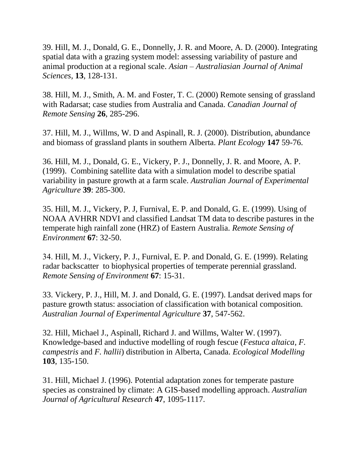39. Hill, M. J., Donald, G. E., Donnelly, J. R. and Moore, A. D. (2000). Integrating spatial data with a grazing system model: assessing variability of pasture and animal production at a regional scale. *Asian – Australiasian Journal of Animal Sciences*, **13**, 128-131.

38. Hill, M. J., Smith, A. M. and Foster, T. C. (2000) Remote sensing of grassland with Radarsat; case studies from Australia and Canada. *Canadian Journal of Remote Sensing* **26**, 285-296.

37. Hill, M. J., Willms, W. D and Aspinall, R. J. (2000). Distribution, abundance and biomass of grassland plants in southern Alberta. *Plant Ecology* **147** 59-76.

36. Hill, M. J., Donald, G. E., Vickery, P. J., Donnelly, J. R. and Moore, A. P. (1999). Combining satellite data with a simulation model to describe spatial variability in pasture growth at a farm scale. *Australian Journal of Experimental Agriculture* **39**: 285-300.

35. Hill, M. J., Vickery, P. J, Furnival, E. P. and Donald, G. E. (1999). Using of NOAA AVHRR NDVI and classified Landsat TM data to describe pastures in the temperate high rainfall zone (HRZ) of Eastern Australia. *Remote Sensing of Environment* **67**: 32-50.

34. Hill, M. J., Vickery, P. J., Furnival, E. P. and Donald, G. E. (1999). Relating radar backscatter to biophysical properties of temperate perennial grassland. *Remote Sensing of Environment* **67**: 15-31.

33. Vickery, P. J., Hill, M. J. and Donald, G. E. (1997). Landsat derived maps for pasture growth status: association of classification with botanical composition. *Australian Journal of Experimental Agriculture* **37**, 547-562.

32. Hill, Michael J., Aspinall, Richard J. and Willms, Walter W. (1997). Knowledge-based and inductive modelling of rough fescue (*Festuca altaica*, *F. campestris* and *F. hallii*) distribution in Alberta, Canada. *Ecological Modelling* **103**, 135-150.

31. Hill, Michael J. (1996). Potential adaptation zones for temperate pasture species as constrained by climate: A GIS-based modelling approach. *Australian Journal of Agricultural Research* **47**, 1095-1117.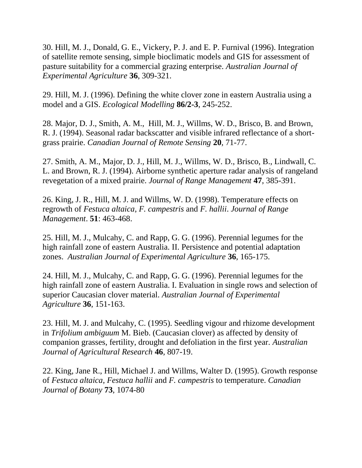30. Hill, M. J., Donald, G. E., Vickery, P. J. and E. P. Furnival (1996). Integration of satellite remote sensing, simple bioclimatic models and GIS for assessment of pasture suitability for a commercial grazing enterprise. *Australian Journal of Experimental Agriculture* **36**, 309-321.

29. Hill, M. J. (1996). Defining the white clover zone in eastern Australia using a model and a GIS. *Ecological Modelling* **86/2-3**, 245-252.

28. Major, D. J., Smith, A. M., Hill, M. J., Willms, W. D., Brisco, B. and Brown, R. J. (1994). Seasonal radar backscatter and visible infrared reflectance of a shortgrass prairie. *Canadian Journal of Remote Sensing* **20**, 71-77.

27. Smith, A. M., Major, D. J., Hill, M. J., Willms, W. D., Brisco, B., Lindwall, C. L. and Brown, R. J. (1994). Airborne synthetic aperture radar analysis of rangeland revegetation of a mixed prairie. *Journal of Range Management* **47**, 385-391.

26. King, J. R., Hill, M. J. and Willms, W. D. (1998). Temperature effects on regrowth of *Festuca altaica*, *F. campestris* and *F. hallii*. *Journal of Range Management*. **51**: 463-468.

25. Hill, M. J., Mulcahy, C. and Rapp, G. G. (1996). Perennial legumes for the high rainfall zone of eastern Australia. II. Persistence and potential adaptation zones. *Australian Journal of Experimental Agriculture* **36**, 165-175.

24. Hill, M. J., Mulcahy, C. and Rapp, G. G. (1996). Perennial legumes for the high rainfall zone of eastern Australia. I. Evaluation in single rows and selection of superior Caucasian clover material. *Australian Journal of Experimental Agriculture* **36**, 151-163.

23. Hill, M. J. and Mulcahy, C. (1995). Seedling vigour and rhizome development in *Trifolium ambiguum* M. Bieb. (Caucasian clover) as affected by density of companion grasses, fertility, drought and defoliation in the first year. *Australian Journal of Agricultural Research* **46**, 807-19.

22. King, Jane R., Hill, Michael J. and Willms, Walter D. (1995). Growth response of *Festuca altaica*, *Festuca hallii* and *F. campestris* to temperature. *Canadian Journal of Botany* **73**, 1074-80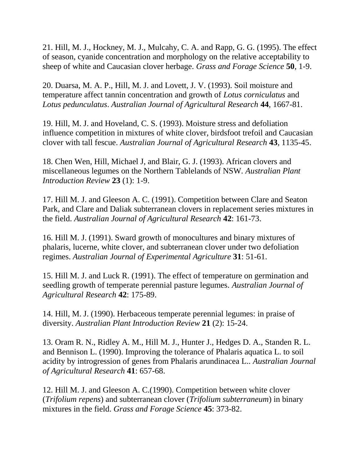21. Hill, M. J., Hockney, M. J., Mulcahy, C. A. and Rapp, G. G. (1995). The effect of season, cyanide concentration and morphology on the relative acceptability to sheep of white and Caucasian clover herbage. *Grass and Forage Science* **50**, 1-9.

20. Duarsa, M. A. P., Hill, M. J. and Lovett, J. V. (1993). Soil moisture and temperature affect tannin concentration and growth of *Lotus corniculatus* and *Lotus pedunculatus*. *Australian Journal of Agricultural Research* **44**, 1667-81.

19. Hill, M. J. and Hoveland, C. S. (1993). Moisture stress and defoliation influence competition in mixtures of white clover, birdsfoot trefoil and Caucasian clover with tall fescue. *Australian Journal of Agricultural Research* **43**, 1135-45.

18. Chen Wen, Hill, Michael J, and Blair, G. J. (1993). African clovers and miscellaneous legumes on the Northern Tablelands of NSW. *Australian Plant Introduction Review* **23** (1): 1-9.

17. Hill M. J. and Gleeson A. C. (1991). Competition between Clare and Seaton Park, and Clare and Daliak subterranean clovers in replacement series mixtures in the field. *Australian Journal of Agricultural Research* **42**: 161-73.

16. Hill M. J. (1991). Sward growth of monocultures and binary mixtures of phalaris, lucerne, white clover, and subterranean clover under two defoliation regimes. *Australian Journal of Experimental Agriculture* **31**: 51-61.

15. Hill M. J. and Luck R. (1991). The effect of temperature on germination and seedling growth of temperate perennial pasture legumes. *Australian Journal of Agricultural Research* **42**: 175-89.

14. Hill, M. J. (1990). Herbaceous temperate perennial legumes: in praise of diversity. *Australian Plant Introduction Review* **21** (2): 15-24.

13. Oram R. N., Ridley A. M., Hill M. J., Hunter J., Hedges D. A., Standen R. L. and Bennison L. (1990). Improving the tolerance of Phalaris aquatica L. to soil acidity by introgression of genes from Phalaris arundinacea L.. *Australian Journal of Agricultural Research* **41**: 657-68.

12. Hill M. J. and Gleeson A. C.(1990). Competition between white clover (*Trifolium repens*) and subterranean clover (*Trifolium subterraneum*) in binary mixtures in the field. *Grass and Forage Science* **45**: 373-82.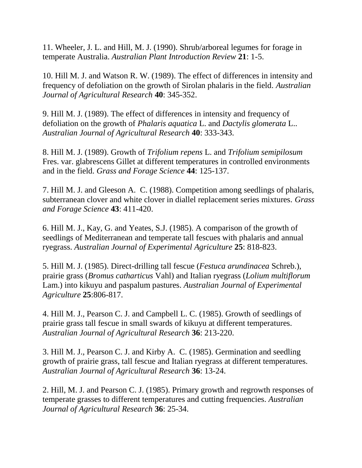11. Wheeler, J. L. and Hill, M. J. (1990). Shrub/arboreal legumes for forage in temperate Australia. *Australian Plant Introduction Review* **21**: 1-5.

10. Hill M. J. and Watson R. W. (1989). The effect of differences in intensity and frequency of defoliation on the growth of Sirolan phalaris in the field. *Australian Journal of Agricultural Research* **40**: 345-352.

9. Hill M. J. (1989). The effect of differences in intensity and frequency of defoliation on the growth of *Phalaris aquatica* L. and *Dactylis glomerata* L.. *Australian Journal of Agricultural Research* **40**: 333-343.

8. Hill M. J. (1989). Growth of *Trifolium repens* L. and *Trifolium semipilosum* Fres. var. glabrescens Gillet at different temperatures in controlled environments and in the field. *Grass and Forage Science* **44**: 125-137.

7. Hill M. J. and Gleeson A. C. (1988). Competition among seedlings of phalaris, subterranean clover and white clover in diallel replacement series mixtures. *Grass and Forage Science* **43**: 411-420.

6. Hill M. J., Kay, G. and Yeates, S.J. (1985). A comparison of the growth of seedlings of Mediterranean and temperate tall fescues with phalaris and annual ryegrass. *Australian Journal of Experimental Agriculture* **25**: 818-823.

5. Hill M. J. (1985). Direct-drilling tall fescue (*Festuca arundinacea* Schreb.), prairie grass (*Bromus catharticus* Vahl) and Italian ryegrass (*Lolium multiflorum* Lam.) into kikuyu and paspalum pastures. *Australian Journal of Experimental Agriculture* **25**:806-817.

4. Hill M. J., Pearson C. J. and Campbell L. C. (1985). Growth of seedlings of prairie grass tall fescue in small swards of kikuyu at different temperatures. *Australian Journal of Agricultural Research* **36**: 213-220.

3. Hill M. J., Pearson C. J. and Kirby A. C. (1985). Germination and seedling growth of prairie grass, tall fescue and Italian ryegrass at different temperatures. *Australian Journal of Agricultural Research* **36**: 13-24.

2. Hill, M. J. and Pearson C. J. (1985). Primary growth and regrowth responses of temperate grasses to different temperatures and cutting frequencies. *Australian Journal of Agricultural Research* **36**: 25-34.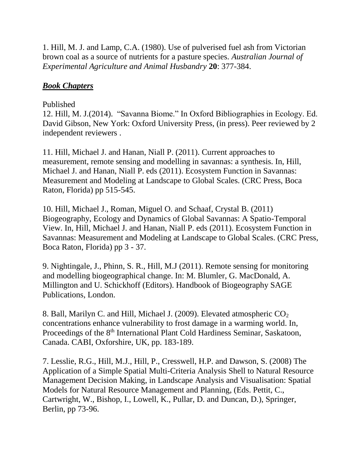1. Hill, M. J. and Lamp, C.A. (1980). Use of pulverised fuel ash from Victorian brown coal as a source of nutrients for a pasture species. *Australian Journal of Experimental Agriculture and Animal Husbandry* **20**: 377-384.

# *Book Chapters*

### Published

12. Hill, M. J.(2014). "Savanna Biome." In Oxford Bibliographies in Ecology. Ed. David Gibson, New York: Oxford University Press, (in press). Peer reviewed by 2 independent reviewers .

11. Hill, Michael J. and Hanan, Niall P. (2011). Current approaches to measurement, remote sensing and modelling in savannas: a synthesis. In, Hill, Michael J. and Hanan, Niall P. eds (2011). Ecosystem Function in Savannas: Measurement and Modeling at Landscape to Global Scales. (CRC Press, Boca Raton, Florida) pp 515-545.

10. Hill, Michael J., Roman, Miguel O. and Schaaf, Crystal B. (2011) Biogeography, Ecology and Dynamics of Global Savannas: A Spatio-Temporal View. In, Hill, Michael J. and Hanan, Niall P. eds (2011). Ecosystem Function in Savannas: Measurement and Modeling at Landscape to Global Scales. (CRC Press, Boca Raton, Florida) pp 3 - 37.

9. Nightingale, J., Phinn, S. R., Hill, M.J (2011). Remote sensing for monitoring and modelling biogeographical change. In: M. Blumler, G. MacDonald, A. Millington and U. Schickhoff (Editors). Handbook of Biogeography SAGE Publications, London.

8. Ball, Marilyn C. and Hill, Michael J. (2009). Elevated atmospheric  $CO<sub>2</sub>$ concentrations enhance vulnerability to frost damage in a warming world. In, Proceedings of the 8<sup>th</sup> International Plant Cold Hardiness Seminar, Saskatoon, Canada. CABI, Oxforshire, UK, pp. 183-189.

7. Lesslie, R.G., Hill, M.J., Hill, P., Cresswell, H.P. and Dawson, S. (2008) The Application of a Simple Spatial Multi-Criteria Analysis Shell to Natural Resource Management Decision Making, in Landscape Analysis and Visualisation: Spatial Models for Natural Resource Management and Planning, (Eds. Pettit, C., Cartwright, W., Bishop, I., Lowell, K., Pullar, D. and Duncan, D.), Springer, Berlin, pp 73-96.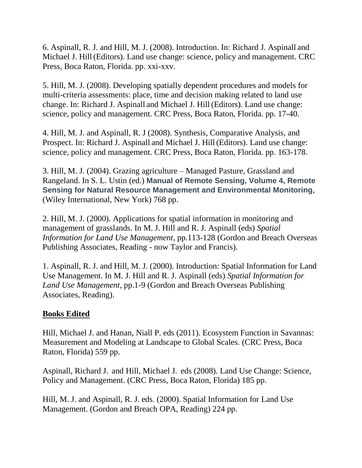6. Aspinall, R. J. and Hill, M. J. (2008). Introduction. In: Richard J. Aspinall and Michael J. Hill(Editors). Land use change: science, policy and management. CRC Press, Boca Raton, Florida. pp. xxi-xxv.

5. Hill, M. J. (2008). Developing spatially dependent procedures and models for multi-criteria assessments: place, time and decision making related to land use change. In: Richard J. Aspinall and Michael J. Hill (Editors). Land use change: science, policy and management. CRC Press, Boca Raton, Florida. pp. 17-40.

4. Hill, M. J. and Aspinall, R. J (2008). Synthesis, Comparative Analysis, and Prospect. In: Richard J. Aspinall and Michael J. Hill(Editors). Land use change: science, policy and management. CRC Press, Boca Raton, Florida. pp. 163-178.

3. Hill, M. J. (2004). Grazing agriculture – Managed Pasture, Grassland and Rangeland. In S. L. Ustin (ed.) **Manual of Remote Sensing, Volume 4, Remote Sensing for Natural Resource Management and Environmental Monitoring**, (Wiley International, New York) 768 pp.

2. Hill, M. J. (2000). Applications for spatial information in monitoring and management of grasslands. In M. J. Hill and R. J. Aspinall (eds) *Spatial Information for Land Use Management*, pp.113-128 (Gordon and Breach Overseas Publishing Associates, Reading - now Taylor and Francis).

1. Aspinall, R. J. and Hill, M. J. (2000). Introduction: Spatial Information for Land Use Management. In M. J. Hill and R. J. Aspinall (eds) *Spatial Information for Land Use Management*, pp.1-9 (Gordon and Breach Overseas Publishing Associates, Reading).

#### **Books Edited**

Hill, Michael J. and Hanan, Niall P. eds (2011). Ecosystem Function in Savannas: Measurement and Modeling at Landscape to Global Scales. (CRC Press, Boca Raton, Florida) 559 pp.

Aspinall, Richard J. and Hill, Michael J. eds (2008). Land Use Change: Science, Policy and Management. (CRC Press, Boca Raton, Florida) 185 pp.

Hill, M. J. and Aspinall, R. J. eds. (2000). Spatial Information for Land Use Management. (Gordon and Breach OPA, Reading) 224 pp.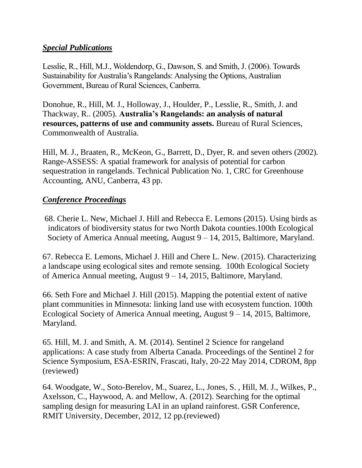### *Special Publications*

Lesslie, R., Hill, M.J., Woldendorp, G., Dawson, S. and Smith, J. (2006). Towards Sustainability for Australia's Rangelands: Analysing the Options, Australian Government, Bureau of Rural Sciences, Canberra.

Donohue, R., Hill, M. J., Holloway, J., Houlder, P., Lesslie, R., Smith, J. and Thackway, R.. (2005). **Australia's Rangelands: an analysis of natural resources, patterns of use and community assets.** Bureau of Rural Sciences, Commonwealth of Australia.

Hill, M. J., Braaten, R., McKeon, G., Barrett, D., Dyer, R. and seven others (2002). Range-ASSESS: A spatial framework for analysis of potential for carbon sequestration in rangelands. Technical Publication No. 1, CRC for Greenhouse Accounting, ANU, Canberra, 43 pp.

### *Conference Proceedings*

68. Cherie L. New, Michael J. Hill and Rebecca E. Lemons (2015). Using birds as indicators of biodiversity status for two North Dakota counties.100th Ecological Society of America Annual meeting, August 9 – 14, 2015, Baltimore, Maryland.

67. Rebecca E. Lemons, Michael J. Hill and Chere L. New. (2015). Characterizing a landscape using ecological sites and remote sensing. 100th Ecological Society of America Annual meeting, August 9 – 14, 2015, Baltimore, Maryland.

66. Seth Fore and Michael J. Hill (2015). Mapping the potential extent of native plant communities in Minnesota: linking land use with ecosystem function. 100th Ecological Society of America Annual meeting, August 9 – 14, 2015, Baltimore, Maryland.

65. Hill, M. J. and Smith, A. M. (2014). Sentinel 2 Science for rangeland applications: A case study from Alberta Canada. Proceedings of the Sentinel 2 for Science Symposium, ESA-ESRIN, Frascati, Italy, 20-22 May 2014, CDROM, 8pp (reviewed)

64. Woodgate, W., Soto-Berelov, M., Suarez, L., Jones, S. , Hill, M. J., Wilkes, P., Axelsson, C., Haywood, A. and Mellow, A. (2012). Searching for the optimal sampling design for measuring LAI in an upland rainforest. GSR Conference, RMIT University, December, 2012, 12 pp.(reviewed)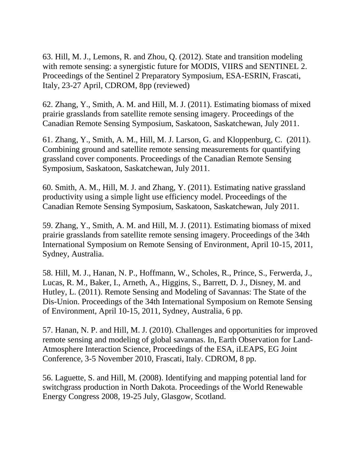63. Hill, M. J., Lemons, R. and Zhou, Q. (2012). State and transition modeling with remote sensing: a synergistic future for MODIS, VIIRS and SENTINEL 2. Proceedings of the Sentinel 2 Preparatory Symposium, ESA-ESRIN, Frascati, Italy, 23-27 April, CDROM, 8pp (reviewed)

62. Zhang, Y., Smith, A. M. and Hill, M. J. (2011). Estimating biomass of mixed prairie grasslands from satellite remote sensing imagery. Proceedings of the Canadian Remote Sensing Symposium, Saskatoon, Saskatchewan, July 2011.

61. Zhang, Y., Smith, A. M., Hill, M. J. Larson, G. and Kloppenburg, C. (2011). Combining ground and satellite remote sensing measurements for quantifying grassland cover components. Proceedings of the Canadian Remote Sensing Symposium, Saskatoon, Saskatchewan, July 2011.

60. Smith, A. M., Hill, M. J. and Zhang, Y. (2011). Estimating native grassland productivity using a simple light use efficiency model. Proceedings of the Canadian Remote Sensing Symposium, Saskatoon, Saskatchewan, July 2011.

59. Zhang, Y., Smith, A. M. and Hill, M. J. (2011). Estimating biomass of mixed prairie grasslands from satellite remote sensing imagery. Proceedings of the 34th International Symposium on Remote Sensing of Environment, April 10-15, 2011, Sydney, Australia.

58. Hill, M. J., Hanan, N. P., Hoffmann, W., Scholes, R., Prince, S., Ferwerda, J., Lucas, R. M., Baker, I., Arneth, A., Higgins, S., Barrett, D. J., Disney, M. and Hutley, L. (2011). Remote Sensing and Modeling of Savannas: The State of the Dis-Union. Proceedings of the 34th International Symposium on Remote Sensing of Environment, April 10-15, 2011, Sydney, Australia, 6 pp.

57. Hanan, N. P. and Hill, M. J. (2010). Challenges and opportunities for improved remote sensing and modeling of global savannas. In, Earth Observation for Land-Atmosphere Interaction Science, Proceedings of the ESA, iLEAPS, EG Joint Conference, 3-5 November 2010, Frascati, Italy. CDROM, 8 pp.

56. Laguette, S. and Hill, M. (2008). Identifying and mapping potential land for switchgrass production in North Dakota. Proceedings of the World Renewable Energy Congress 2008, 19-25 July, Glasgow, Scotland.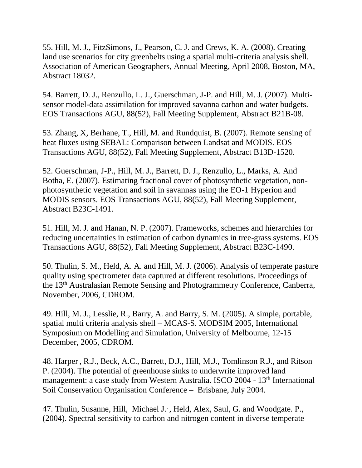55. Hill, M. J., FitzSimons, J., Pearson, C. J. and Crews, K. A. (2008). Creating land use scenarios for city greenbelts using a spatial multi-criteria analysis shell. Association of American Geographers, Annual Meeting, April 2008, Boston, MA, Abstract 18032.

54. Barrett, D. J., Renzullo, L. J., Guerschman, J-P. and Hill, M. J. (2007). Multisensor model-data assimilation for improved savanna carbon and water budgets. EOS Transactions AGU, 88(52), Fall Meeting Supplement, Abstract B21B-08.

53. Zhang, X, Berhane, T., Hill, M. and Rundquist, B. (2007). Remote sensing of heat fluxes using SEBAL: Comparison between Landsat and MODIS. EOS Transactions AGU, 88(52), Fall Meeting Supplement, Abstract B13D-1520.

52. Guerschman, J-P., Hill, M. J., Barrett, D. J., Renzullo, L., Marks, A. And Botha, E. (2007). Estimating fractional cover of photosynthetic vegetation, nonphotosynthetic vegetation and soil in savannas using the EO-1 Hyperion and MODIS sensors. EOS Transactions AGU, 88(52), Fall Meeting Supplement, Abstract B23C-1491.

51. Hill, M. J. and Hanan, N. P. (2007). Frameworks, schemes and hierarchies for reducing uncertainties in estimation of carbon dynamics in tree-grass systems. EOS Transactions AGU, 88(52), Fall Meeting Supplement, Abstract B23C-1490.

50. Thulin, S. M., Held, A. A. and Hill, M. J. (2006). Analysis of temperate pasture quality using spectrometer data captured at different resolutions. Proceedings of the 13th Australasian Remote Sensing and Photogrammetry Conference, Canberra, November, 2006, CDROM.

49. Hill, M. J., Lesslie, R., Barry, A. and Barry, S. M. (2005). A simple, portable, spatial multi criteria analysis shell – MCAS-S. MODSIM 2005, International Symposium on Modelling and Simulation, University of Melbourne, 12-15 December, 2005, CDROM.

48. Harper , R.J., Beck, A.C., Barrett, D.J., Hill, M.J., Tomlinson R.J., and Ritson P. (2004). The potential of greenhouse sinks to underwrite improved land management: a case study from Western Australia. ISCO 2004 - 13<sup>th</sup> International Soil Conservation Organisation Conference – Brisbane, July 2004.

47. Thulin, Susanne, Hill, Michael J., Held, Alex, Saul, G. and Woodgate. P., (2004). Spectral sensitivity to carbon and nitrogen content in diverse temperate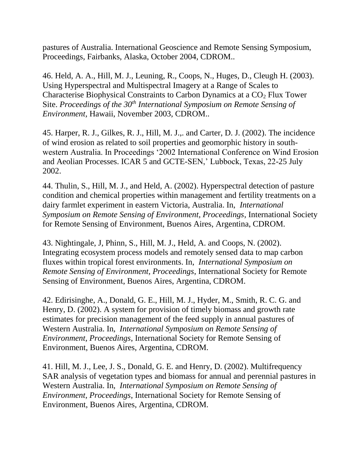pastures of Australia. International Geoscience and Remote Sensing Symposium, Proceedings, Fairbanks, Alaska, October 2004, CDROM..

46. Held, A. A., Hill, M. J., Leuning, R., Coops, N., Huges, D., Cleugh H. (2003). Using Hyperspectral and Multispectral Imagery at a Range of Scales to Characterise Biophysical Constraints to Carbon Dynamics at a CO<sub>2</sub> Flux Tower Site. *Proceedings of the 30<sup>th</sup> International Symposium on Remote Sensing of Environment,* Hawaii, November 2003, CDROM..

45. Harper, R. J., Gilkes, R. J., Hill, M. J.,. and Carter, D. J. (2002). The incidence of wind erosion as related to soil properties and geomorphic history in southwestern Australia. In Proceedings '2002 International Conference on Wind Erosion and Aeolian Processes. ICAR 5 and GCTE-SEN,' Lubbock, Texas, 22-25 July 2002.

44. Thulin, S., Hill, M. J., and Held, A. (2002). Hyperspectral detection of pasture condition and chemical properties within management and fertility treatments on a dairy farmlet experiment in eastern Victoria, Australia. In, *International Symposium on Remote Sensing of Environment, Proceedings*, International Society for Remote Sensing of Environment, Buenos Aires, Argentina, CDROM.

43. Nightingale, J, Phinn, S., Hill, M. J., Held, A. and Coops, N. (2002). Integrating ecosystem process models and remotely sensed data to map carbon fluxes within tropical forest environments. In, *International Symposium on Remote Sensing of Environment, Proceedings*, International Society for Remote Sensing of Environment, Buenos Aires, Argentina, CDROM.

42. Edirisinghe, A., Donald, G. E., Hill, M. J., Hyder, M., Smith, R. C. G. and Henry, D. (2002). A system for provision of timely biomass and growth rate estimates for precision management of the feed supply in annual pastures of Western Australia. In, *International Symposium on Remote Sensing of Environment, Proceedings*, International Society for Remote Sensing of Environment, Buenos Aires, Argentina, CDROM.

41. Hill, M. J., Lee, J. S., Donald, G. E. and Henry, D. (2002). Multifrequency SAR analysis of vegetation types and biomass for annual and perennial pastures in Western Australia. In, *International Symposium on Remote Sensing of Environment, Proceedings*, International Society for Remote Sensing of Environment, Buenos Aires, Argentina, CDROM.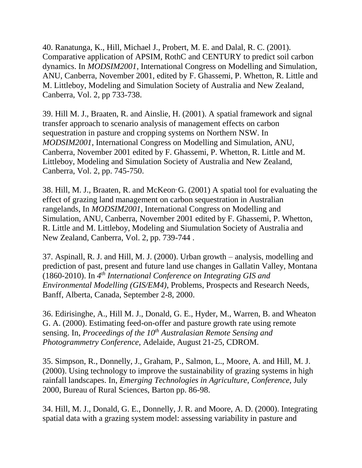40. Ranatunga, K., Hill, Michael J., Probert, M. E. and Dalal, R. C. (2001). Comparative application of APSIM, RothC and CENTURY to predict soil carbon dynamics. In *MODSIM2001*, International Congress on Modelling and Simulation, ANU, Canberra, November 2001, edited by F. Ghassemi, P. Whetton, R. Little and M. Littleboy, Modeling and Simulation Society of Australia and New Zealand, Canberra, Vol. 2, pp 733-738.

39. Hill M. J., Braaten, R. and Ainslie, H. (2001). A spatial framework and signal transfer approach to scenario analysis of management effects on carbon sequestration in pasture and cropping systems on Northern NSW. In *MODSIM2001*, International Congress on Modelling and Simulation, ANU, Canberra, November 2001 edited by F. Ghassemi, P. Whetton, R. Little and M. Littleboy, Modeling and Simulation Society of Australia and New Zealand, Canberra, Vol. 2, pp. 745-750.

38. Hill, M. J., Braaten, R. and McKeon, G. (2001) A spatial tool for evaluating the effect of grazing land management on carbon sequestration in Australian rangelands, In *MODSIM2001*, International Congress on Modelling and Simulation, ANU, Canberra, November 2001 edited by F. Ghassemi, P. Whetton, R. Little and M. Littleboy, Modeling and Siumulation Society of Australia and New Zealand, Canberra, Vol. 2, pp. 739-744 .

37. Aspinall, R. J. and Hill, M. J. (2000). Urban growth – analysis, modelling and prediction of past, present and future land use changes in Gallatin Valley, Montana (1860-2010). In *4 th International Conference on Integrating GIS and Environmental Modelling (GIS/EM4)*, Problems, Prospects and Research Needs, Banff, Alberta, Canada, September 2-8, 2000.

36. Edirisinghe, A., Hill M. J., Donald, G. E., Hyder, M., Warren, B. and Wheaton G. A. (2000). Estimating feed-on-offer and pasture growth rate using remote sensing. In, *Proceedings of the 10th Australasian Remote Sensing and Photogrammetry Conference,* Adelaide, August 21-25, CDROM.

35. Simpson, R., Donnelly, J., Graham, P., Salmon, L., Moore, A. and Hill, M. J. (2000). Using technology to improve the sustainability of grazing systems in high rainfall landscapes. In, *Emerging Technologies in Agriculture, Conference,* July 2000, Bureau of Rural Sciences, Barton pp. 86-98.

34. Hill, M. J., Donald, G. E., Donnelly, J. R. and Moore, A. D. (2000). Integrating spatial data with a grazing system model: assessing variability in pasture and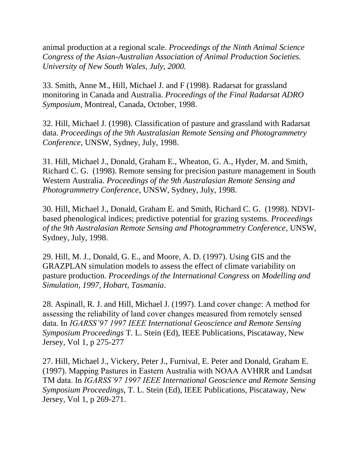animal production at a regional scale. *Proceedings of the Ninth Animal Science Congress of the Asian-Australian Association of Animal Production Societies. University of New South Wales, July, 2000.* 

33. Smith, Anne M., Hill, Michael J. and F (1998). Radarsat for grassland monitoring in Canada and Australia. *Proceedings of the Final Radarsat ADRO Symposium*, Montreal, Canada, October, 1998.

32. Hill, Michael J. (1998). Classification of pasture and grassland with Radarsat data. *Proceedings of the 9th Australasian Remote Sensing and Photogrammetry Conference*, UNSW, Sydney, July, 1998.

31. Hill, Michael J., Donald, Graham E., Wheaton, G. A., Hyder, M. and Smith, Richard C. G. (1998). Remote sensing for precision pasture management in South Western Australia. *Proceedings of the 9th Australasian Remote Sensing and Photogrammetry Conference*, UNSW, Sydney, July, 1998.

30. Hill, Michael J., Donald, Graham E. and Smith, Richard C. G. (1998). NDVIbased phenological indices; predictive potential for grazing systems. *Proceedings of the 9th Australasian Remote Sensing and Photogrammetry Conference*, UNSW, Sydney, July, 1998.

29. Hill, M. J., Donald, G. E., and Moore, A. D. (1997). Using GIS and the GRAZPLAN simulation models to assess the effect of climate variability on pasture production. *Proceedings of the International Congress on Modelling and Simulation, 1997, Hobart, Tasmania*.

28. Aspinall, R. J. and Hill, Michael J. (1997). Land cover change: A method for assessing the reliability of land cover changes measured from remotely sensed data. In *IGARSS'97 1997 IEEE International Geoscience and Remote Sensing Symposium Proceedings* T. L. Stein (Ed), IEEE Publications, Piscataway, New Jersey*,* Vol 1, p 275-277

27. Hill, Michael J., Vickery, Peter J., Furnival, E. Peter and Donald, Graham E. (1997). Mapping Pastures in Eastern Australia with NOAA AVHRR and Landsat TM data. In *IGARSS'97 1997 IEEE International Geoscience and Remote Sensing Symposium Proceedings,* T. L. Stein (Ed), IEEE Publications, Piscataway, New Jersey*,* Vol 1, p 269-271.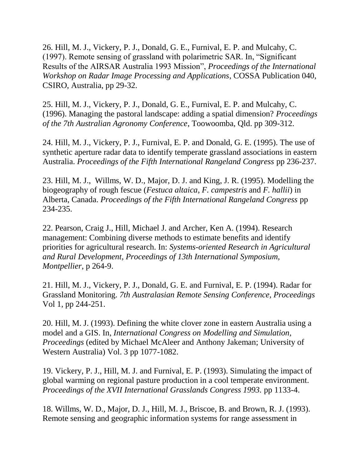26. Hill, M. J., Vickery, P. J., Donald, G. E., Furnival, E. P. and Mulcahy, C. (1997). Remote sensing of grassland with polarimetric SAR. In, "Significant Results of the AIRSAR Australia 1993 Mission", *Proceedings of the International Workshop on Radar Image Processing and Applications*, COSSA Publication 040, CSIRO, Australia, pp 29-32.

25. Hill, M. J., Vickery, P. J., Donald, G. E., Furnival, E. P. and Mulcahy, C. (1996). Managing the pastoral landscape: adding a spatial dimension? *Proceedings of the 7th Australian Agronomy Conference*, Toowoomba, Qld. pp 309-312.

24. Hill, M. J., Vickery, P. J., Furnival, E. P. and Donald, G. E. (1995). The use of synthetic aperture radar data to identify temperate grassland associations in eastern Australia. *Proceedings of the Fifth International Rangeland Congress* pp 236-237.

23. Hill, M. J., Willms, W. D., Major, D. J. and King, J. R. (1995). Modelling the biogeography of rough fescue (*Festuca altaica*, *F. campestris* and *F. hallii*) in Alberta, Canada. *Proceedings of the Fifth International Rangeland Congress* pp 234-235.

22. Pearson, Craig J., Hill, Michael J. and Archer, Ken A. (1994). Research management: Combining diverse methods to estimate benefits and identify priorities for agricultural research. In: *Systems-oriented Research in Agricultural and Rural Development, Proceedings of 13th International Symposium, Montpellier*, p 264-9.

21. Hill, M. J., Vickery, P. J., Donald, G. E. and Furnival, E. P. (1994). Radar for Grassland Monitoring. *7th Australasian Remote Sensing Conference, Proceedings*  Vol 1, pp 244-251.

20. Hill, M. J. (1993). Defining the white clover zone in eastern Australia using a model and a GIS. In, *International Congress on Modelling and Simulation, Proceedings* (edited by Michael McAleer and Anthony Jakeman; University of Western Australia) Vol. 3 pp 1077-1082.

19. Vickery, P. J., Hill, M. J. and Furnival, E. P. (1993). Simulating the impact of global warming on regional pasture production in a cool temperate environment. *Proceedings of the XVII International Grasslands Congress 1993.* pp 1133-4.

18. Willms, W. D., Major, D. J., Hill, M. J., Briscoe, B. and Brown, R. J. (1993). Remote sensing and geographic information systems for range assessment in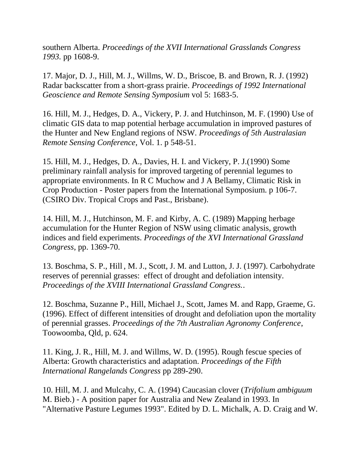southern Alberta. *Proceedings of the XVII International Grasslands Congress 1993.* pp 1608-9.

17. Major, D. J., Hill, M. J., Willms, W. D., Briscoe, B. and Brown, R. J. (1992) Radar backscatter from a short-grass prairie. *Proceedings of 1992 International Geoscience and Remote Sensing Symposium* vol 5: 1683-5.

16. Hill, M. J., Hedges, D. A., Vickery, P. J. and Hutchinson, M. F. (1990) Use of climatic GIS data to map potential herbage accumulation in improved pastures of the Hunter and New England regions of NSW. *Proceedings of 5th Australasian Remote Sensing Conference*, Vol. 1. p 548-51.

15. Hill, M. J., Hedges, D. A., Davies, H. I. and Vickery, P. J.(1990) Some preliminary rainfall analysis for improved targeting of perennial legumes to appropriate environments. In R C Muchow and J A Bellamy, Climatic Risk in Crop Production - Poster papers from the International Symposium. p 106-7. (CSIRO Div. Tropical Crops and Past., Brisbane).

14. Hill, M. J., Hutchinson, M. F. and Kirby, A. C. (1989) Mapping herbage accumulation for the Hunter Region of NSW using climatic analysis, growth indices and field experiments. *Proceedings of the XVI International Grassland Congress*, pp. 1369-70.

13. Boschma, S. P., Hill , M. J., Scott, J. M. and Lutton, J. J. (1997). Carbohydrate reserves of perennial grasses: effect of drought and defoliation intensity. *Proceedings of the XVIII International Grassland Congress.*.

12. Boschma, Suzanne P., Hill, Michael J., Scott, James M. and Rapp, Graeme, G. (1996). Effect of different intensities of drought and defoliation upon the mortality of perennial grasses. *Proceedings of the 7th Australian Agronomy Conference*, Toowoomba, Qld, p. 624.

11. King, J. R., Hill, M. J. and Willms, W. D. (1995). Rough fescue species of Alberta: Growth characteristics and adaptation. *Proceedings of the Fifth International Rangelands Congress* pp 289-290.

10. Hill, M. J. and Mulcahy, C. A. (1994) Caucasian clover (*Trifolium ambiguum* M. Bieb.) - A position paper for Australia and New Zealand in 1993. In "Alternative Pasture Legumes 1993". Edited by D. L. Michalk, A. D. Craig and W.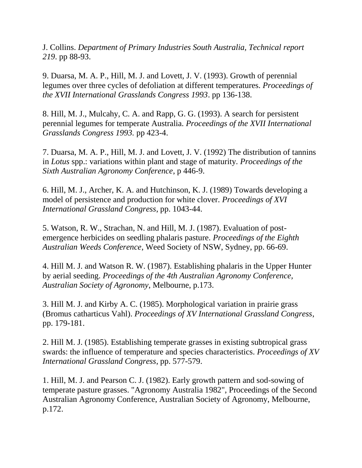J. Collins. *Department of Primary Industries South Australia, Technical report 219*. pp 88-93.

9. Duarsa, M. A. P., Hill, M. J. and Lovett, J. V. (1993). Growth of perennial legumes over three cycles of defoliation at different temperatures. *Proceedings of the XVII International Grasslands Congress 1993*. pp 136-138.

8. Hill, M. J., Mulcahy, C. A. and Rapp, G. G. (1993). A search for persistent perennial legumes for temperate Australia. *Proceedings of the XVII International Grasslands Congress 1993.* pp 423-4.

7. Duarsa, M. A. P., Hill, M. J. and Lovett, J. V. (1992) The distribution of tannins in *Lotus* spp.: variations within plant and stage of maturity. *Proceedings of the Sixth Australian Agronomy Conference*, p 446-9.

6. Hill, M. J., Archer, K. A. and Hutchinson, K. J. (1989) Towards developing a model of persistence and production for white clover. *Proceedings of XVI International Grassland Congress*, pp. 1043-44.

5. Watson, R. W., Strachan, N. and Hill, M. J. (1987). Evaluation of postemergence herbicides on seedling phalaris pasture. *Proceedings of the Eighth Australian Weeds Conference*, Weed Society of NSW, Sydney, pp. 66-69.

4. Hill M. J. and Watson R. W. (1987). Establishing phalaris in the Upper Hunter by aerial seeding. *Proceedings of the 4th Australian Agronomy Conference, Australian Society of Agronomy*, Melbourne, p.173.

3. Hill M. J. and Kirby A. C. (1985). Morphological variation in prairie grass (Bromus catharticus Vahl). *Proceedings of XV International Grassland Congress*, pp. 179-181.

2. Hill M. J. (1985). Establishing temperate grasses in existing subtropical grass swards: the influence of temperature and species characteristics. *Proceedings of XV International Grassland Congress*, pp. 577-579.

1. Hill, M. J. and Pearson C. J. (1982). Early growth pattern and sod-sowing of temperate pasture grasses. "Agronomy Australia 1982", Proceedings of the Second Australian Agronomy Conference, Australian Society of Agronomy, Melbourne, p.172.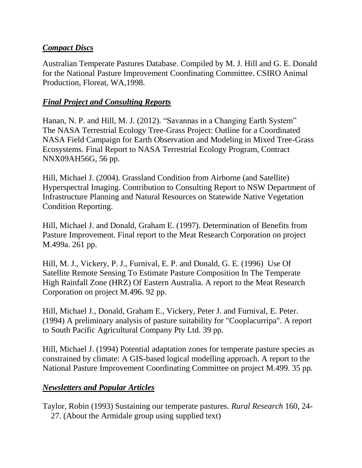### *Compact Discs*

Australian Temperate Pastures Database. Compiled by M. J. Hill and G. E. Donald for the National Pasture Improvement Coordinating Committee. CSIRO Animal Production, Floreat, WA,1998.

### *Final Project and Consulting Reports*

Hanan, N. P. and Hill, M. J. (2012). "Savannas in a Changing Earth System" The NASA Terrestrial Ecology Tree-Grass Project: Outline for a Coordinated NASA Field Campaign for Earth Observation and Modeling in Mixed Tree-Grass Ecosystems. Final Report to NASA Terrestrial Ecology Program, Contract NNX09AH56G, 56 pp.

Hill, Michael J. (2004). Grassland Condition from Airborne (and Satellite) Hyperspectral Imaging. Contribution to Consulting Report to NSW Department of Infrastructure Planning and Natural Resources on Statewide Native Vegetation Condition Reporting.

Hill, Michael J. and Donald, Graham E. (1997). Determination of Benefits from Pasture Improvement. Final report to the Meat Research Corporation on project M.499a. 261 pp.

Hill, M. J., Vickery, P. J., Furnival, E. P. and Donald, G. E. (1996) Use Of Satellite Remote Sensing To Estimate Pasture Composition In The Temperate High Rainfall Zone (HRZ) Of Eastern Australia. A report to the Meat Research Corporation on project M.496. 92 pp.

Hill, Michael J., Donald, Graham E., Vickery, Peter J. and Furnival, E. Peter. (1994) A preliminary analysis of pasture suitability for "Cooplacurripa". A report to South Pacific Agricultural Company Pty Ltd. 39 pp.

Hill, Michael J. (1994) Potential adaptation zones for temperate pasture species as constrained by climate: A GIS-based logical modelling approach. A report to the National Pasture Improvement Coordinating Committee on project M.499. 35 pp.

## *Newsletters and Popular Articles*

Taylor, Robin (1993) Sustaining our temperate pastures. *Rural Research* 160, 24- 27. (About the Armidale group using supplied text)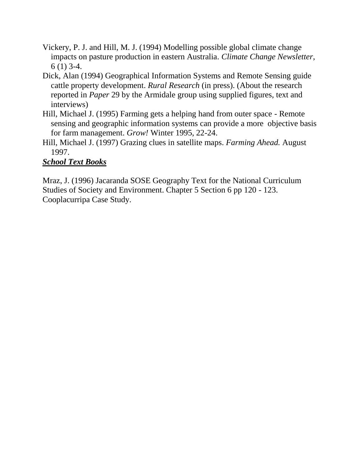- Vickery, P. J. and Hill, M. J. (1994) Modelling possible global climate change impacts on pasture production in eastern Australia. *Climate Change Newsletter*, 6 (1) 3-4.
- Dick, Alan (1994) Geographical Information Systems and Remote Sensing guide cattle property development. *Rural Research* (in press). (About the research reported in *Paper* 29 by the Armidale group using supplied figures, text and interviews)
- Hill, Michael J. (1995) Farming gets a helping hand from outer space Remote sensing and geographic information systems can provide a more objective basis for farm management. *Grow!* Winter 1995, 22-24.
- Hill, Michael J. (1997) Grazing clues in satellite maps. *Farming Ahead.* August 1997.

# *School Text Books*

Mraz, J. (1996) Jacaranda SOSE Geography Text for the National Curriculum Studies of Society and Environment. Chapter 5 Section 6 pp 120 - 123. Cooplacurripa Case Study.